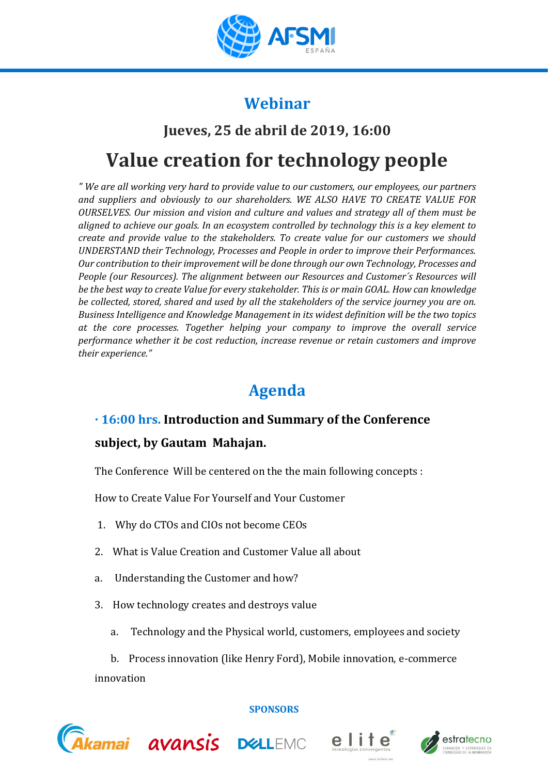

## **Webinar**

# **Jueves, 25 de abril de 2019, 16:00 Value creation for technology people**

*" We are all working very hard to provide value to our customers, our employees, our partners and suppliers and obviously to our shareholders. WE ALSO HAVE TO CREATE VALUE FOR OURSELVES. Our mission and vision and culture and values and strategy all of them must be aligned to achieve our goals. In an ecosystem controlled by technology this is a key element to create and provide value to the stakeholders. To create value for our customers we should UNDERSTAND their Technology, Processes and People in order to improve their Performances. Our contribution to their improvement will be done through our own Technology, Processes and People (our Resources). The alignment between our Resources and Customer´s Resources will be the best way to create Value for every stakeholder. This is or main GOAL. How can knowledge be collected, stored, shared and used by all the stakeholders of the service journey you are on. Business Intelligence and Knowledge Management in its widest definition will be the two topics at the core processes. Together helping your company to improve the overall service performance whether it be cost reduction, increase revenue or retain customers and improve their experience."*

# **Agenda**

## **· 16:00 hrs. Introduction and Summary of the Conference**

## **subject, by Gautam Mahajan.**

The Conference Will be centered on the the main following concepts :

How to Create Value For Yourself and Your Customer

- 1. Why do CTOs and CIOs not become CEOs
- 2. What is Value Creation and Customer Value all about
- a. Understanding the Customer and how?
- 3. How technology creates and destroys value
	- a. Technology and the Physical world, customers, employees and society

b. Process innovation (like Henry Ford), Mobile innovation, e-commerce innovation



#### **SPONSORS**



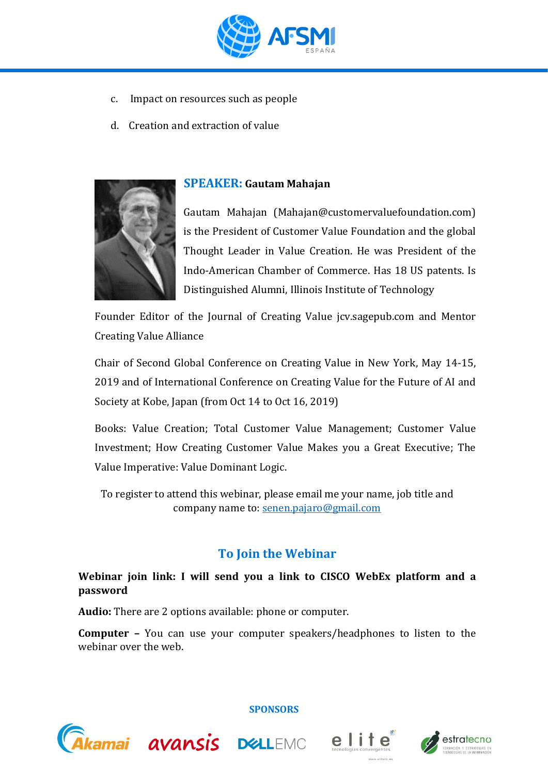

- c. Impact on resources such as people
- d. Creation and extraction of value



#### **SPEAKER: Gautam Mahajan**

Gautam Mahajan (Mahajan@customervaluefoundation.com) is the President of Customer Value Foundation and the global Thought Leader in Value Creation. He was President of the Indo-American Chamber of Commerce. Has 18 US patents. Is Distinguished Alumni, Illinois Institute of Technology

Founder Editor of the Journal of Creating Value jcv.sagepub.com and Mentor Creating Value Alliance

Chair of Second Global Conference on Creating Value in New York, May 14-15, 2019 and of International Conference on Creating Value for the Future of AI and Society at Kobe, Japan (from Oct 14 to Oct 16, 2019)

Books: Value Creation; Total Customer Value Management; Customer Value Investment; How Creating Customer Value Makes you a Great Executive; The Value Imperative: Value Dominant Logic.

To register to attend this webinar, please email me your name, job title and company name to: [senen.pajaro@gmail.com](mailto:senen.pajaro@gmail.com)

## **To Join the Webinar**

#### **Webinar join link: I will send you a link to CISCO WebEx platform and a password**

**Audio:** There are 2 options available: phone or computer.

**Computer –** You can use your computer speakers/headphones to listen to the webinar over the web.



**SPONSORS**